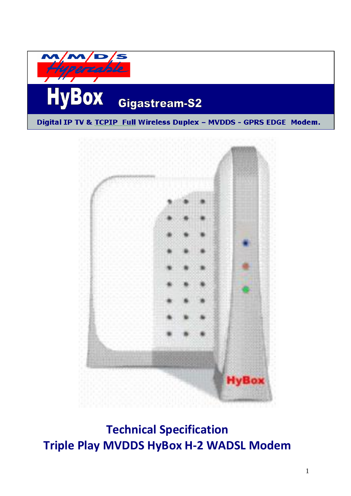**HyBox Gigastream-S2** Digital IP TV & TCPIP Full Wireless Duplex - MVDDS - GPRS EDGE Modem.



**Technical Specification Triple Play MVDDS HyBox H-2 WADSL Modem**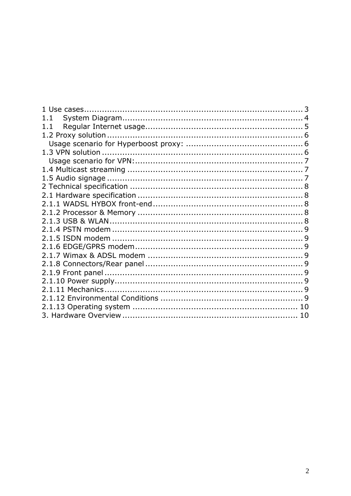| 1.1 |  |
|-----|--|
| 1.1 |  |
|     |  |
|     |  |
|     |  |
|     |  |
|     |  |
|     |  |
|     |  |
|     |  |
|     |  |
|     |  |
|     |  |
|     |  |
|     |  |
|     |  |
|     |  |
|     |  |
|     |  |
|     |  |
|     |  |
|     |  |
|     |  |
|     |  |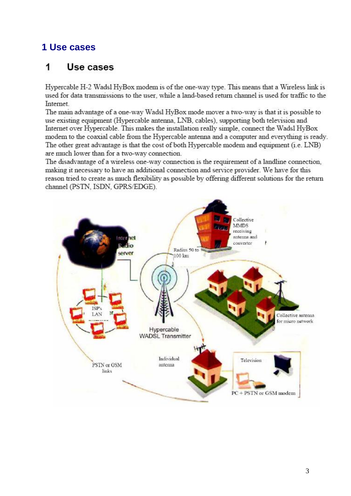# <span id="page-2-0"></span>1 Use cases

#### 1 Use cases

Hypercable H-2 Wadsl HyBox modem is of the one-way type. This means that a Wireless link is used for data transmissions to the user, while a land-based return channel is used for traffic to the Internet.

The main advantage of a one-way Wadsl HyBox mode mover a two-way is that it is possible to use existing equipment (Hypercable antenna, LNB, cables), supporting both television and Internet over Hypercable. This makes the installation really simple, connect the Wadsl HyBox modem to the coaxial cable from the Hypercable antenna and a computer and everything is ready. The other great advantage is that the cost of both Hypercable modem and equipment (i.e. LNB) are much lower than for a two-way connection.

The disadvantage of a wireless one-way connection is the requirement of a landline connection, making it necessary to have an additional connection and service provider. We have for this reason tried to create as much flexibility as possible by offering different solutions for the return channel (PSTN, ISDN, GPRS/EDGE).

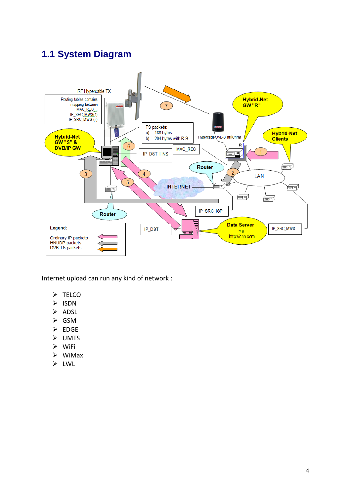# <span id="page-3-0"></span>**1.1 System Diagram**



Internet upload can run any kind of network :

- $\triangleright$  TELCO
- ISDN
- $\triangleright$  ADSL
- $\triangleright$  GSM
- $\triangleright$  EDGE
- UMTS
- WiFi
- WiMax
- LWL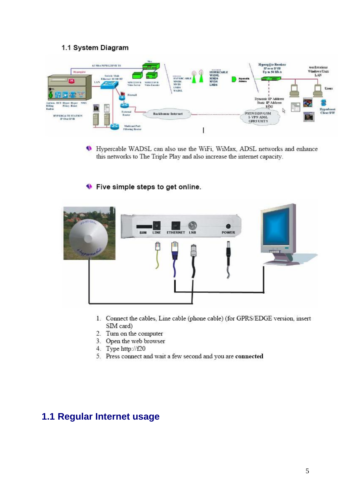#### 1.1 System Diagram

| <b>Hiperpute</b>                                                                                                  | 63 Mb/s MPEG2DVB 15                                            | <b>Stay</b><br>all on                                                    |                                                                                            | Q<br>WADSL                             | $-0.0484444$<br><b>HYPERCABLE</b>                                              | Hyperg@te Receiver<br>IP aver DVB<br>Up to 54 Mh is                                                                  | workstations<br>Windows Unity<br>LAN |
|-------------------------------------------------------------------------------------------------------------------|----------------------------------------------------------------|--------------------------------------------------------------------------|--------------------------------------------------------------------------------------------|----------------------------------------|--------------------------------------------------------------------------------|----------------------------------------------------------------------------------------------------------------------|--------------------------------------|
| $\mathbf \Omega$<br>医子鼻                                                                                           | Switch / Blub<br>Etheraet 10.100 BT<br>1.5N<br><b>Contract</b> | NIPEGE BY B<br>MPEG2 BY B<br>Video Encodes<br>Video Service<br>Firewall. | <b>NORTHER</b><br><b><i>EVERICABLE</i></b><br><b>MMTH</b><br>MVDS<br><b>LMDS</b><br>WAINE. | <b>MNDS</b><br>MVDS<br>LMDS<br>7159920 |                                                                                | Hyperoble<br>Antimora                                                                                                | Users                                |
| Author, BCC Hyper Hyper NMS<br><b>Billing</b><br>Frony Boast<br>Radius<br><b>HYPERGS IE STATION</b><br>IP Our DVB |                                                                | External<br>Router                                                       | <b>Backbonne</b> Internet                                                                  |                                        | para ang kalamatan ang ang ang ang pag-ang galawa is ina ang gang ang ang lati | <b>Dynamic IP Address</b><br>Static IP Address<br>ROU<br>rg.<br><b>PSTN4SDNGSM</b><br>I-VPN ADSL<br><b>GPRS UMTS</b> | T.<br>Hyperboast<br>Client S/W       |
|                                                                                                                   |                                                                | <b>Multicast Port</b><br><b>Filtering Roster</b>                         |                                                                                            |                                        |                                                                                |                                                                                                                      |                                      |

<sup>1</sup> Hypercable WADSL can also use the WiFi, WiMax, ADSL networks and enhance this networks to The Triple Play and also increase the internet capacity.

#### ♦ Five simple steps to get online.



- 1. Connect the cables, Line cable (phone cable) (for GPRS/EDGE version, insert SIM card)
- 2. Turn on the computer
- 3. Open the web browser
- 4. Type http://f20
- 5. Press connect and wait a few second and you are connected

### <span id="page-4-0"></span>1.1 Regular Internet usage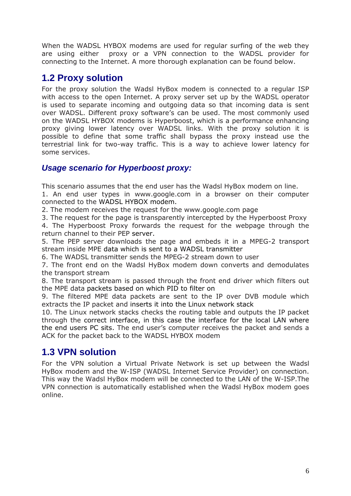When the WADSL HYBOX modems are used for regular surfing of the web they are using either proxy or a VPN connection to the WADSL provider for connecting to the Internet. A more thorough explanation can be found below.

### <span id="page-5-0"></span>**1.2 Proxy solution**

For the proxy solution the Wadsl HyBox modem is connected to a regular ISP with access to the open Internet. A proxy server set up by the WADSL operator is used to separate incoming and outgoing data so that incoming data is sent over WADSL. Different proxy software's can be used. The most commonly used on the WADSL HYBOX modems is Hyperboost, which is a performance enhancing proxy giving lower latency over WADSL links. With the proxy solution it is possible to define that some traffic shall bypass the proxy instead use the terrestrial link for two-way traffic. This is a way to achieve lower latency for some services.

#### <span id="page-5-1"></span>*Usage scenario for Hyperboost proxy:*

This scenario assumes that the end user has the Wadsl HyBox modem on line.

1. An end user types in www.google.com in a browser on their computer connected to the WADSL HYBOX modem.

2. The modem receives the request for the www.google.com page

3. The request for the page is transparently intercepted by the Hyperboost Proxy

4. The Hyperboost Proxy forwards the request for the webpage through the return channel to their PEP server.

5. The PEP server downloads the page and embeds it in a MPEG-2 transport stream inside MPE data which is sent to a WADSL transmitter

6. The WADSL transmitter sends the MPEG-2 stream down to user

7. The front end on the Wadsl HyBox modem down converts and demodulates the transport stream

8. The transport stream is passed through the front end driver which filters out the MPE data packets based on which PID to filter on

9. The filtered MPE data packets are sent to the IP over DVB module which extracts the IP packet and inserts it into the Linux network stack

10. The Linux network stacks checks the routing table and outputs the IP packet through the correct interface, in this case the interface for the local LAN where the end users PC sits. The end user's computer receives the packet and sends a ACK for the packet back to the WADSL HYBOX modem

# <span id="page-5-2"></span>**1.3 VPN solution**

For the VPN solution a Virtual Private Network is set up between the Wadsl HyBox modem and the W-ISP (WADSL Internet Service Provider) on connection. This way the Wadsl HyBox modem will be connected to the LAN of the W-ISP.The VPN connection is automatically established when the Wadsl HyBox modem goes online.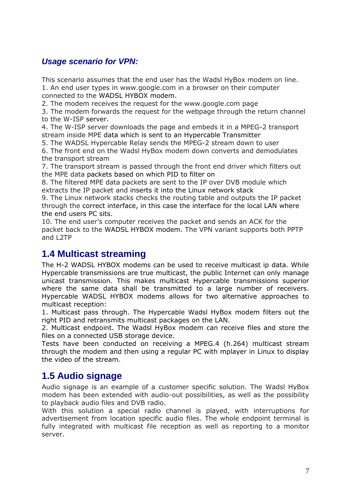#### <span id="page-6-0"></span>*Usage scenario for VPN:*

This scenario assumes that the end user has the Wadsl HyBox modem on line. 1. An end user types in www.google.com in a browser on their computer connected to the WADSL HYBOX modem.

2. The modem receives the request for the www.google.com page

3. The modem forwards the request for the webpage through the return channel to the W-ISP server.

4. The W-ISP server downloads the page and embeds it in a MPEG-2 transport stream inside MPE data which is sent to an Hypercable Transmitter

5. The WADSL Hypercable Relay sends the MPEG-2 stream down to user

6. The front end on the Wadsl HyBox modem down converts and demodulates the transport stream

7. The transport stream is passed through the front end driver which filters out the MPE data packets based on which PID to filter on

8. The filtered MPE data packets are sent to the IP over DVB module which extracts the IP packet and inserts it into the Linux network stack

9. The Linux network stacks checks the routing table and outputs the IP packet through the correct interface, in this case the interface for the local LAN where the end users PC sits.

10. The end user's computer receives the packet and sends an ACK for the packet back to the WADSL HYBOX modem. The VPN variant supports both PPTP and L<sub>2</sub>TP

### <span id="page-6-1"></span>**1.4 Multicast streaming**

The H-2 WADSL HYBOX modems can be used to receive multicast ip data. While Hypercable transmissions are true multicast, the public Internet can only manage unicast transmission. This makes multicast Hypercable transmissions superior where the same data shall be transmitted to a large number of receivers. Hypercable WADSL HYBOX modems allows for two alternative approaches to multicast reception:

1. Multicast pass through. The Hypercable Wadsl HyBox modem filters out the right PID and retransmits multicast packages on the LAN.

2. Multicast endpoint. The Wadsl HyBox modem can receive files and store the files on a connected USB storage device.

Tests have been conducted on receiving a MPEG.4 (h.264) multicast stream through the modem and then using a regular PC with mplayer in Linux to display the video of the stream.

### <span id="page-6-2"></span>**1.5 Audio signage**

Audio signage is an example of a customer specific solution. The Wadsl HyBox modem has been extended with audio-out possibilities, as well as the possibility to playback audio files and DVB radio.

With this solution a special radio channel is played, with interruptions for advertisement from location specific audio files. The whole endpoint terminal is fully integrated with multicast file reception as well as reporting to a monitor server.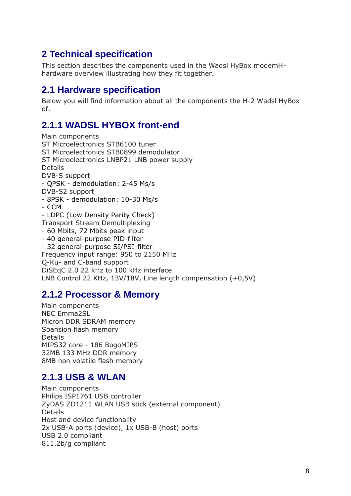# <span id="page-7-0"></span>**2 Technical specification**

This section describes the components used in the Wadsl HyBox modemHhardware overview illustrating how they fit together.

#### <span id="page-7-1"></span>**2.1 Hardware specification**

Below you will find information about all the components the H-2 Wadsl HyBox of.

# <span id="page-7-2"></span>**2.1.1 WADSL HYBOX front-end**

Main components ST Microelectronics STB6100 tuner ST Microelectronics STB0899 demodulator ST Microelectronics LNBP21 LNB power supply Details DVB-S support - QPSK - demodulation: 2-45 Ms/s DVB-S2 support - 8PSK - demodulation: 10-30 Ms/s - CCM - LDPC (Low Density Parity Check) Transport Stream Demultiplexing - 60 Mbits, 72 Mbits peak input - 40 general-purpose PID-filter - 32 general-purpose SI/PSI-filter Frequency input range: 950 to 2150 MHz Q-Ku- and C-band support DiSEqC 2.0 22 kHz to 100 kHz interface LNB Control 22 KHz, 13V/18V, Line length compensation (+0,5V)

### <span id="page-7-3"></span>**2.1.2 Processor & Memory**

Main components NEC Emma2SL Micron DDR SDRAM memory Spansion flash memory Details MIPS32 core - 186 BogoMIPS 32MB 133 MHz DDR memory 8MB non volatile flash memory

### <span id="page-7-4"></span>**2.1.3 USB & WLAN**

Main components Philips ISP1761 USB controller ZyDAS ZD1211 WLAN USB stick (external component) **Details** Host and device functionality 2x USB-A ports (device), 1x USB-B (host) ports USB 2.0 compliant 811.2b/g compliant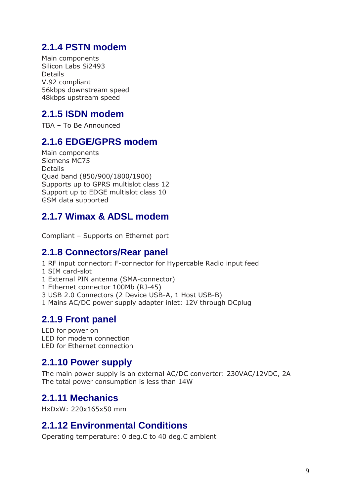# <span id="page-8-0"></span>**2.1.4 PSTN modem**

Main components Silicon Labs Si2493 Details V.92 compliant 56kbps downstream speed 48kbps upstream speed

# <span id="page-8-1"></span>**2.1.5 ISDN modem**

TBA – To Be Announced

# <span id="page-8-2"></span>**2.1.6 EDGE/GPRS modem**

Main components Siemens MC75 Details Quad band (850/900/1800/1900) Supports up to GPRS multislot class 12 Support up to EDGE multislot class 10 GSM data supported

# <span id="page-8-3"></span>**2.1.7 Wimax & ADSL modem**

Compliant – Supports on Ethernet port

### <span id="page-8-4"></span>**2.1.8 Connectors/Rear panel**

- 1 RF input connector: F-connector for Hypercable Radio input feed
- 1 SIM card-slot
- 1 External PIN antenna (SMA-connector)
- 1 Ethernet connector 100Mb (RJ-45)
- 3 USB 2.0 Connectors (2 Device USB-A, 1 Host USB-B)
- 1 Mains AC/DC power supply adapter inlet: 12V through DCplug

# <span id="page-8-5"></span>**2.1.9 Front panel**

LED for power on LED for modem connection LED for Ethernet connection

### <span id="page-8-6"></span>**2.1.10 Power supply**

The main power supply is an external AC/DC converter: 230VAC/12VDC, 2A The total power consumption is less than 14W

# <span id="page-8-7"></span>**2.1.11 Mechanics**

<span id="page-8-8"></span>HxDxW: 220x165x50 mm

# **2.1.12 Environmental Conditions**

Operating temperature: 0 deg.C to 40 deg.C ambient